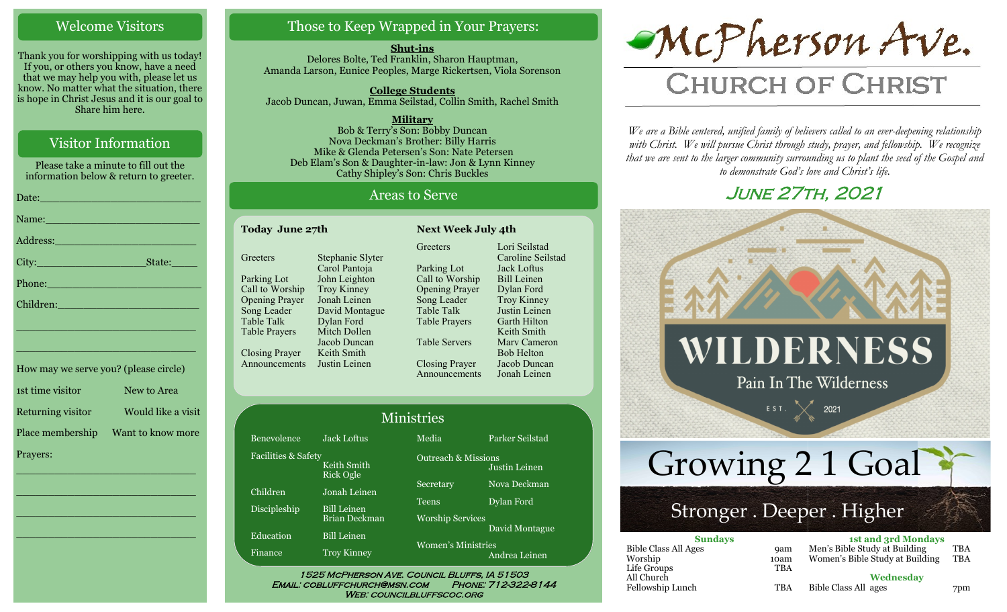### Welcome Visitors

Thank you for worshipping with us today! If you, or others you know, have a need that we may help you with, please let us know. No matter what the situation, there is hope in Christ Jesus and it is our goal to Share him here.

## Visitor Information

Please take a minute to fill out the information below & return to greeter.

|                                               | Name: Name and the Contract of the Contract of the Contract of the Contract of the Contract of the Contract of the Contract of the Contract of the Contract of the Contract of the Contract of the Contract of the Contract of |
|-----------------------------------------------|--------------------------------------------------------------------------------------------------------------------------------------------------------------------------------------------------------------------------------|
|                                               |                                                                                                                                                                                                                                |
|                                               |                                                                                                                                                                                                                                |
|                                               | Phone: New York Changes and The Changes of the Changes of the Changes of the Changes of the Changes of the Changes of the Changes of the Changes of the Changes of the Changes of the Changes of the Changes of the Changes of |
|                                               | Children: 2008 - 2008 - 2010 - 2010 - 2010 - 2011 - 2012 - 2014 - 2014 - 2014 - 2014 - 2014 - 2014 - 2014 - 20                                                                                                                 |
|                                               | <u> 1989 - Johann Stoff, deutscher Stoff, der Stoff, der Stoff, der Stoff, der Stoff, der Stoff, der Stoff, der S</u>                                                                                                          |
| <u> 1989 - Johann Barnett, mars et al. 19</u> |                                                                                                                                                                                                                                |
|                                               | How may we serve you? (please circle)                                                                                                                                                                                          |
| 1st time visitor New to Area                  |                                                                                                                                                                                                                                |
|                                               | Returning visitor Would like a visit                                                                                                                                                                                           |
|                                               | Place membership  Want to know more                                                                                                                                                                                            |

\_\_\_\_\_\_\_\_\_\_\_\_\_\_\_\_\_\_\_\_\_\_\_\_\_\_\_\_

 $\overline{\phantom{a}}$  , and the set of the set of the set of the set of the set of the set of the set of the set of the set of the set of the set of the set of the set of the set of the set of the set of the set of the set of the s

 $\overline{\phantom{a}}$  , and the set of the set of the set of the set of the set of the set of the set of the set of the set of the set of the set of the set of the set of the set of the set of the set of the set of the set of the s

\_\_\_\_\_\_\_\_\_\_\_\_\_\_\_\_\_\_\_\_\_\_\_\_\_\_\_\_

Prayers:

## Those to Keep Wrapped in Your Prayers:

**Shut-ins** Delores Bolte, Ted Franklin, Sharon Hauptman, Amanda Larson, Eunice Peoples, Marge Rickertsen, Viola Sorenson

**College Students**  Jacob Duncan, Juwan, Emma Seilstad, Collin Smith, Rachel Smith

**Military** Bob & Terry's Son: Bobby Duncan Nova Deckman's Brother: Billy Harris Mike & Glenda Petersen's Son: Nate Petersen Deb Elam's Son & Daughter-in-law: Jon & Lynn Kinney Cathy Shipley's Son: Chris Buckles

#### Areas to Serve

| Today June 27th       |                  |                       | <b>Next Week July 4th</b> |  |
|-----------------------|------------------|-----------------------|---------------------------|--|
|                       |                  | Greeters              | Lori Seilstad             |  |
| Greeters              | Stephanie Slyter |                       | Caroline Seilstad         |  |
|                       | Carol Pantoja    | Parking Lot           | Jack Loftus               |  |
| Parking Lot           | John Leighton    | Call to Worship       | <b>Bill Leinen</b>        |  |
| Call to Worship       | Troy Kinney      | <b>Opening Prayer</b> | Dylan Ford                |  |
| <b>Opening Prayer</b> | Jonah Leinen     | Song Leader           | Troy Kinney               |  |
| Song Leader           | David Montague   | Table Talk            | Justin Leinen             |  |
| Table Talk            | Dylan Ford       | <b>Table Prayers</b>  | Garth Hilton              |  |
| <b>Table Prayers</b>  | Mitch Dollen     |                       | Keith Smith               |  |
|                       | Jacob Duncan     | <b>Table Servers</b>  | Mary Cameron              |  |
| <b>Closing Prayer</b> | Keith Smith      |                       | <b>Bob Helton</b>         |  |
| Announcements         | Justin Leinen    | <b>Closing Prayer</b> | Jacob Duncan              |  |
|                       |                  | Announcements         | Jonah Leinen              |  |

| <b>Ministries</b>   |                                 |                                |                 |
|---------------------|---------------------------------|--------------------------------|-----------------|
| <b>Benevolence</b>  | <b>Jack Loftus</b>              | Media                          | Parker Seilstad |
| Facilities & Safety | Keith Smith<br><b>Rick Ogle</b> | <b>Outreach &amp; Missions</b> | Justin Leinen   |
| Children            | Jonah Leinen                    | Secretary                      | Nova Deckman    |
| Discipleship        | <b>Bill Leinen</b>              | <b>Teens</b>                   | Dylan Ford      |
|                     | <b>Brian Deckman</b>            | <b>Worship Services</b>        |                 |
| Education           | <b>Bill Leinen</b>              |                                | David Montague  |
| Finance             | <b>Troy Kinney</b>              | <b>Women's Ministries</b>      | Andrea Leinen   |

WEB: COUNCILBLUFFSCOC.ORG



# **CHURCH OF CHRIST**

*We are a Bible centered, unified family of believers called to an ever-deepening relationship*  with Christ. We will pursue Christ through study, prayer, and fellowship. We recognize *that we are sent to the larger community surrounding us to plant the seed of the Gospel and to demonstrate God's love and Christ's life.*

# June 27th, 2021